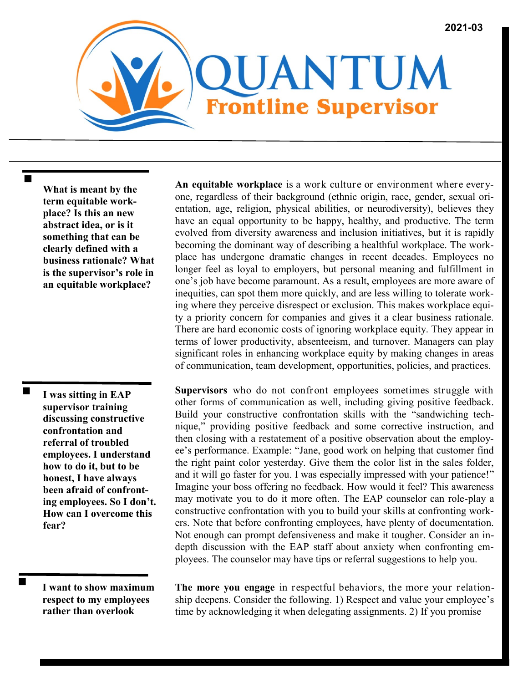**What is meant by the term equitable workplace? Is this an new abstract idea, or is it something that can be clearly defined with a business rationale? What is the supervisor's role in an equitable workplace?**

**I was sitting in EAP supervisor training discussing constructive confrontation and referral of troubled employees. I understand how to do it, but to be honest, I have always been afraid of confronting employees. So I don't. How can I overcome this fear?**

**I want to show maximum respect to my employees rather than overlook**

**An equitable workplace** is a work culture or environment where everyone, regardless of their background (ethnic origin, race, gender, sexual orientation, age, religion, physical abilities, or neurodiversity), believes they have an equal opportunity to be happy, healthy, and productive. The term evolved from diversity awareness and inclusion initiatives, but it is rapidly becoming the dominant way of describing a healthful workplace. The workplace has undergone dramatic changes in recent decades. Employees no longer feel as loyal to employers, but personal meaning and fulfillment in one's job have become paramount. As a result, employees are more aware of inequities, can spot them more quickly, and are less willing to tolerate working where they perceive disrespect or exclusion. This makes workplace equity a priority concern for companies and gives it a clear business rationale. There are hard economic costs of ignoring workplace equity. They appear in terms of lower productivity, absenteeism, and turnover. Managers can play significant roles in enhancing workplace equity by making changes in areas of communication, team development, opportunities, policies, and practices.

**Supervisors** who do not confront employees sometimes struggle with other forms of communication as well, including giving positive feedback. Build your constructive confrontation skills with the "sandwiching technique," providing positive feedback and some corrective instruction, and then closing with a restatement of a positive observation about the employee's performance. Example: "Jane, good work on helping that customer find the right paint color yesterday. Give them the color list in the sales folder, and it will go faster for you. I was especially impressed with your patience!" Imagine your boss offering no feedback. How would it feel? This awareness may motivate you to do it more often. The EAP counselor can role-play a constructive confrontation with you to build your skills at confronting workers. Note that before confronting employees, have plenty of documentation. Not enough can prompt defensiveness and make it tougher. Consider an indepth discussion with the EAP staff about anxiety when confronting employees. The counselor may have tips or referral suggestions to help you.

**The more you engage** in respectful behaviors, the more your relationship deepens. Consider the following. 1) Respect and value your employee's time by acknowledging it when delegating assignments. 2) If you promise